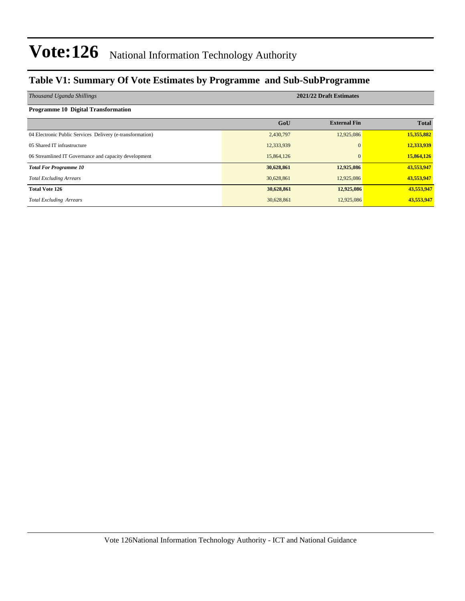#### **Table V1: Summary Of Vote Estimates by Programme and Sub-SubProgramme**

| Thousand Uganda Shillings                                 | 2021/22 Draft Estimates |                     |              |  |  |  |  |  |
|-----------------------------------------------------------|-------------------------|---------------------|--------------|--|--|--|--|--|
| <b>Programme 10 Digital Transformation</b>                |                         |                     |              |  |  |  |  |  |
|                                                           | GoU                     | <b>External Fin</b> | <b>Total</b> |  |  |  |  |  |
| 04 Electronic Public Services Delivery (e-transformation) | 2,430,797               | 12,925,086          | 15,355,882   |  |  |  |  |  |
| 05 Shared IT infrastructure                               | 12,333,939              | $\Omega$            | 12,333,939   |  |  |  |  |  |
| 06 Streamlined IT Governance and capacity development     | 15,864,126              | $\Omega$            | 15,864,126   |  |  |  |  |  |
| <b>Total For Programme 10</b>                             | 30,628,861              | 12,925,086          | 43,553,947   |  |  |  |  |  |
| <b>Total Excluding Arrears</b>                            | 30,628,861              | 12,925,086          | 43,553,947   |  |  |  |  |  |
| <b>Total Vote 126</b>                                     | 30,628,861              | 12,925,086          | 43,553,947   |  |  |  |  |  |
| <b>Total Excluding Arrears</b>                            | 30,628,861              | 12,925,086          | 43,553,947   |  |  |  |  |  |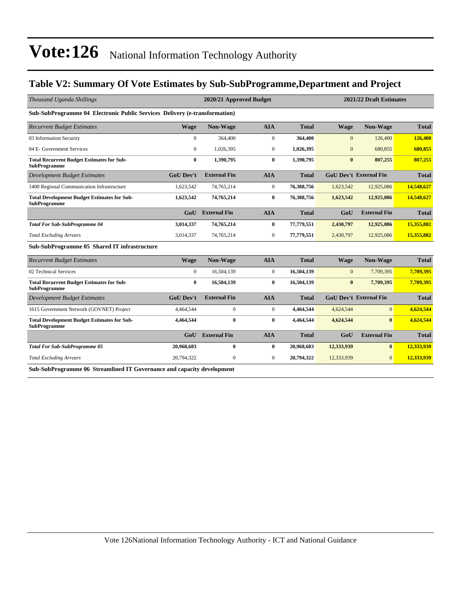#### **Table V2: Summary Of Vote Estimates by Sub-SubProgramme,Department and Project**

| Thousand Uganda Shillings                                                  |                  | 2021/22 Draft Estimates<br>2020/21 Approved Budget |                  |              |              |                               |              |
|----------------------------------------------------------------------------|------------------|----------------------------------------------------|------------------|--------------|--------------|-------------------------------|--------------|
| Sub-SubProgramme 04 Electronic Public Services Delivery (e-transformation) |                  |                                                    |                  |              |              |                               |              |
| <b>Recurrent Budget Estimates</b>                                          | <b>Wage</b>      | Non-Wage                                           | <b>AIA</b>       | <b>Total</b> | <b>Wage</b>  | <b>Non-Wage</b>               | <b>Total</b> |
| 03 Information Security                                                    | $\mathbf{0}$     | 364,400                                            | $\boldsymbol{0}$ | 364,400      | $\mathbf{0}$ | 126,400                       | 126,400      |
| 04 E- Government Services                                                  | $\mathbf{0}$     | 1,026,395                                          | $\boldsymbol{0}$ | 1,026,395    | $\mathbf{0}$ | 680,855                       | 680,855      |
| <b>Total Recurrent Budget Estimates for Sub-</b><br><b>SubProgramme</b>    | $\bf{0}$         | 1,390,795                                          | $\bf{0}$         | 1,390,795    | $\bf{0}$     | 807,255                       | 807,255      |
| <b>Development Budget Estimates</b>                                        | <b>GoU</b> Dev't | <b>External Fin</b>                                | <b>AIA</b>       | <b>Total</b> |              | <b>GoU Dev't External Fin</b> | <b>Total</b> |
| 1400 Regional Communication Infrastructure                                 | 1,623,542        | 74,765,214                                         | $\overline{0}$   | 76,388,756   | 1,623,542    | 12,925,086                    | 14,548,627   |
| <b>Total Development Budget Estimates for Sub-</b><br><b>SubProgramme</b>  | 1,623,542        | 74,765,214                                         | $\bf{0}$         | 76,388,756   | 1,623,542    | 12,925,086                    | 14,548,627   |
|                                                                            | GoU              | <b>External Fin</b>                                | <b>AIA</b>       | <b>Total</b> | GoU          | <b>External Fin</b>           | <b>Total</b> |
| <b>Total For Sub-SubProgramme 04</b>                                       | 3,014,337        | 74,765,214                                         | $\bf{0}$         | 77,779,551   | 2,430,797    | 12,925,086                    | 15,355,882   |
| <b>Total Excluding Arrears</b>                                             | 3,014,337        | 74,765,214                                         | $\overline{0}$   | 77,779,551   | 2,430,797    | 12,925,086                    | 15,355,882   |
| Sub-SubProgramme 05 Shared IT infrastructure                               |                  |                                                    |                  |              |              |                               |              |
| <b>Recurrent Budget Estimates</b>                                          | <b>Wage</b>      | <b>Non-Wage</b>                                    | <b>AIA</b>       | <b>Total</b> | <b>Wage</b>  | Non-Wage                      | <b>Total</b> |
| 02 Technical Services                                                      | $\Omega$         | 16,504,139                                         | $\mathbf{0}$     | 16,504,139   | $\Omega$     | 7,709,395                     | 7,709,395    |
| <b>Total Recurrent Budget Estimates for Sub-</b><br><b>SubProgramme</b>    | $\bf{0}$         | 16,504,139                                         | $\mathbf{0}$     | 16,504,139   | $\bf{0}$     | 7,709,395                     | 7,709,395    |
| <b>Development Budget Estimates</b>                                        | <b>GoU Dev't</b> | <b>External Fin</b>                                | <b>AIA</b>       | <b>Total</b> |              | <b>GoU Dev't External Fin</b> | <b>Total</b> |
| 1615 Government Network (GOVNET) Project                                   | 4,464,544        | $\mathbf{0}$                                       | $\mathbf{0}$     | 4,464,544    | 4,624,544    | $\Omega$                      | 4,624,544    |
| <b>Total Development Budget Estimates for Sub-</b><br><b>SubProgramme</b>  | 4,464,544        | $\bf{0}$                                           | $\bf{0}$         | 4,464,544    | 4,624,544    | $\mathbf{0}$                  | 4,624,544    |
|                                                                            | GoU              | <b>External Fin</b>                                | <b>AIA</b>       | <b>Total</b> | GoU          | <b>External Fin</b>           | <b>Total</b> |
| <b>Total For Sub-SubProgramme 05</b>                                       | 20,968,683       | $\bf{0}$                                           | $\bf{0}$         | 20,968,683   | 12,333,939   | $\mathbf{0}$                  | 12,333,939   |
| <b>Total Excluding Arrears</b>                                             | 20,794,322       | $\mathbf{0}$                                       | $\overline{0}$   | 20,794,322   | 12,333,939   | $\Omega$                      | 12,333,939   |
| Sub-SubProgramme 06 Streamlined IT Governance and capacity development     |                  |                                                    |                  |              |              |                               |              |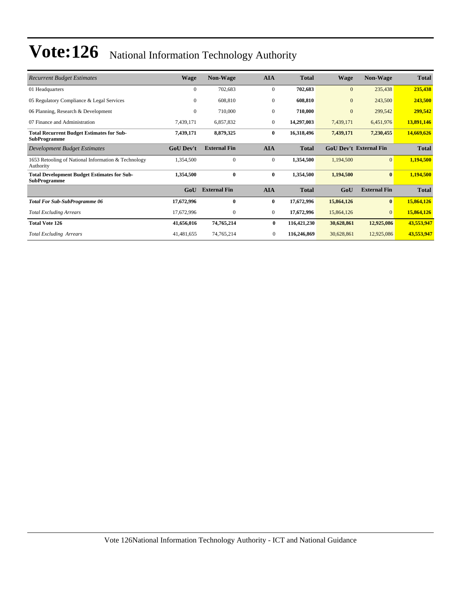| <b>Recurrent Budget Estimates</b>                                         | <b>Wage</b>      | <b>Non-Wage</b>     | <b>AIA</b>     | <b>Total</b> | Wage         | <b>Non-Wage</b>               | <b>Total</b> |
|---------------------------------------------------------------------------|------------------|---------------------|----------------|--------------|--------------|-------------------------------|--------------|
| 01 Headquarters                                                           | $\Omega$         | 702,683             | $\mathbf{0}$   | 702,683      | $\mathbf{0}$ | 235,438                       | 235,438      |
| 05 Regulatory Compliance & Legal Services                                 | $\mathbf{0}$     | 608,810             | $\mathbf{0}$   | 608,810      | $\mathbf{0}$ | 243,500                       | 243,500      |
| 06 Planning, Research & Development                                       | $\mathbf{0}$     | 710,000             | $\mathbf{0}$   | 710,000      | $\mathbf{0}$ | 299,542                       | 299,542      |
| 07 Finance and Administration                                             | 7,439,171        | 6,857,832           | $\mathbf{0}$   | 14,297,003   | 7,439,171    | 6,451,976                     | 13,891,146   |
| <b>Total Recurrent Budget Estimates for Sub-</b><br><b>SubProgramme</b>   | 7,439,171        | 8,879,325           | 0              | 16,318,496   | 7,439,171    | 7,230,455                     | 14,669,626   |
| Development Budget Estimates                                              | <b>GoU Dev't</b> | <b>External Fin</b> | <b>AIA</b>     | <b>Total</b> |              | <b>GoU Dev't External Fin</b> | <b>Total</b> |
| 1653 Retooling of National Information & Technology<br>Authority          | 1,354,500        | $\mathbf{0}$        | $\mathbf{0}$   | 1,354,500    | 1,194,500    | $\overline{0}$                | 1,194,500    |
| <b>Total Development Budget Estimates for Sub-</b><br><b>SubProgramme</b> | 1,354,500        | $\bf{0}$            | $\bf{0}$       | 1,354,500    | 1,194,500    | $\mathbf{0}$                  | 1,194,500    |
|                                                                           | GoU              | <b>External Fin</b> | <b>AIA</b>     | <b>Total</b> | GoU          | <b>External Fin</b>           | <b>Total</b> |
| <b>Total For Sub-SubProgramme 06</b>                                      | 17,672,996       | 0                   | $\bf{0}$       | 17,672,996   | 15,864,126   | $\bf{0}$                      | 15,864,126   |
| <b>Total Excluding Arrears</b>                                            | 17,672,996       | $\mathbf{0}$        | $\mathbf{0}$   | 17,672,996   | 15,864,126   | $\Omega$                      | 15,864,126   |
| <b>Total Vote 126</b>                                                     | 41,656,016       | 74,765,214          | $\bf{0}$       | 116,421,230  | 30,628,861   | 12,925,086                    | 43,553,947   |
| <b>Total Excluding Arrears</b>                                            | 41,481,655       | 74,765,214          | $\overline{0}$ | 116,246,869  | 30,628,861   | 12,925,086                    | 43,553,947   |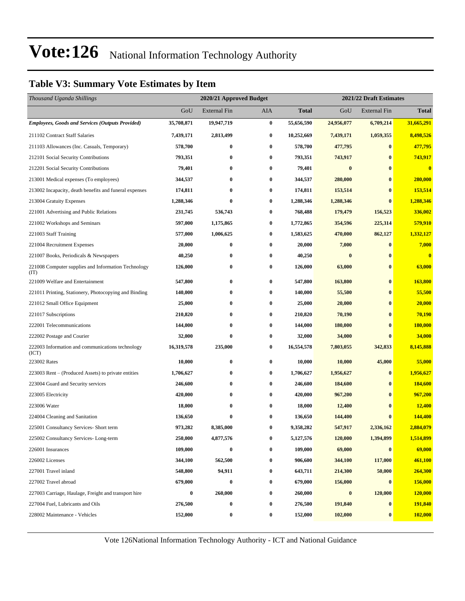#### **Table V3: Summary Vote Estimates by Item**

| Thousand Uganda Shillings                                   |            | 2021/22 Draft Estimates<br>2020/21 Approved Budget |                  |              |            |                     |                |  |
|-------------------------------------------------------------|------------|----------------------------------------------------|------------------|--------------|------------|---------------------|----------------|--|
|                                                             | GoU        | <b>External Fin</b>                                | AIA              | <b>Total</b> | GoU        | <b>External Fin</b> | <b>Total</b>   |  |
| <b>Employees, Goods and Services (Outputs Provided)</b>     | 35,708,871 | 19,947,719                                         | $\bf{0}$         | 55,656,590   | 24,956,077 | 6,709,214           | 31,665,291     |  |
| 211102 Contract Staff Salaries                              | 7.439.171  | 2,813,499                                          | $\bf{0}$         | 10,252,669   | 7,439,171  | 1,059,355           | 8,498,526      |  |
| 211103 Allowances (Inc. Casuals, Temporary)                 | 578,700    | $\bf{0}$                                           | $\bf{0}$         | 578,700      | 477,795    | $\bf{0}$            | 477,795        |  |
| 212101 Social Security Contributions                        | 793,351    | $\bf{0}$                                           | $\bf{0}$         | 793,351      | 743,917    | $\bf{0}$            | 743,917        |  |
| 212201 Social Security Contributions                        | 79,401     | $\bf{0}$                                           | $\bf{0}$         | 79,401       | $\bf{0}$   | $\bf{0}$            | $\bf{0}$       |  |
| 213001 Medical expenses (To employees)                      | 344,537    | $\bf{0}$                                           | $\bf{0}$         | 344,537      | 280,000    | $\bf{0}$            | 280,000        |  |
| 213002 Incapacity, death benefits and funeral expenses      | 174,811    | $\bf{0}$                                           | $\bf{0}$         | 174,811      | 153,514    | $\bf{0}$            | 153,514        |  |
| 213004 Gratuity Expenses                                    | 1,288,346  | $\bf{0}$                                           | $\bf{0}$         | 1,288,346    | 1,288,346  | $\bf{0}$            | 1,288,346      |  |
| 221001 Advertising and Public Relations                     | 231,745    | 536,743                                            | $\bf{0}$         | 768,488      | 179,479    | 156,523             | 336,002        |  |
| 221002 Workshops and Seminars                               | 597,000    | 1,175,865                                          | $\bf{0}$         | 1,772,865    | 354,596    | 225,314             | 579,910        |  |
| 221003 Staff Training                                       | 577,000    | 1,006,625                                          | $\bf{0}$         | 1,583,625    | 470,000    | 862,127             | 1,332,127      |  |
| 221004 Recruitment Expenses                                 | 20,000     | $\boldsymbol{0}$                                   | $\bf{0}$         | 20,000       | 7,000      | $\bf{0}$            | 7,000          |  |
| 221007 Books, Periodicals & Newspapers                      | 40,250     | $\bf{0}$                                           | $\bf{0}$         | 40,250       | $\bf{0}$   | $\bf{0}$            | $\bf{0}$       |  |
| 221008 Computer supplies and Information Technology<br>(TT) | 126,000    | $\bf{0}$                                           | $\bf{0}$         | 126,000      | 63,000     | $\bf{0}$            | 63,000         |  |
| 221009 Welfare and Entertainment                            | 547,800    | $\bf{0}$                                           | $\bf{0}$         | 547,800      | 163,800    | $\bf{0}$            | <b>163,800</b> |  |
| 221011 Printing, Stationery, Photocopying and Binding       | 140,000    | $\bf{0}$                                           | $\bf{0}$         | 140,000      | 55,500     | $\bf{0}$            | 55,500         |  |
| 221012 Small Office Equipment                               | 25,000     | $\bf{0}$                                           | $\bf{0}$         | 25,000       | 20,000     | $\bf{0}$            | 20,000         |  |
| 221017 Subscriptions                                        | 210,820    | $\bf{0}$                                           | $\bf{0}$         | 210,820      | 70,190     | $\bf{0}$            | 70,190         |  |
| 222001 Telecommunications                                   | 144,000    | $\bf{0}$                                           | $\bf{0}$         | 144,000      | 180,000    | $\bf{0}$            | 180,000        |  |
| 222002 Postage and Courier                                  | 32,000     | $\bf{0}$                                           | $\bf{0}$         | 32,000       | 34,000     | $\bf{0}$            | 34,000         |  |
| 222003 Information and communications technology<br>(ICT)   | 16,319,578 | 235,000                                            | $\bf{0}$         | 16,554,578   | 7,803,055  | 342,833             | 8,145,888      |  |
| 223002 Rates                                                | 10,000     | $\bf{0}$                                           | $\bf{0}$         | 10,000       | 10,000     | 45,000              | 55,000         |  |
| 223003 Rent – (Produced Assets) to private entities         | 1,706,627  | $\bf{0}$                                           | $\bf{0}$         | 1,706,627    | 1,956,627  | $\bf{0}$            | 1,956,627      |  |
| 223004 Guard and Security services                          | 246,600    | $\bf{0}$                                           | $\bf{0}$         | 246,600      | 184,600    | $\bf{0}$            | <b>184,600</b> |  |
| 223005 Electricity                                          | 420,000    | $\bf{0}$                                           | $\bf{0}$         | 420,000      | 967,200    | $\bf{0}$            | 967,200        |  |
| 223006 Water                                                | 18,000     | $\bf{0}$                                           | $\bf{0}$         | 18,000       | 12,400     | $\bf{0}$            | <b>12,400</b>  |  |
| 224004 Cleaning and Sanitation                              | 136,650    | 0                                                  | $\bf{0}$         | 136,650      | 144,400    | $\mathbf{0}$        | 144,400        |  |
| 225001 Consultancy Services- Short term                     | 973,282    | 8,385,000                                          | $\bf{0}$         | 9,358,282    | 547,917    | 2.336.162           | 2,884,079      |  |
| 225002 Consultancy Services-Long-term                       | 250,000    | 4,877,576                                          | $\boldsymbol{0}$ | 5,127,576    | 120,000    | 1,394,899           | 1,514,899      |  |
| 226001 Insurances                                           | 109,000    | $\bf{0}$                                           | $\bf{0}$         | 109,000      | 69,000     | $\bf{0}$            | 69,000         |  |
| 226002 Licenses                                             | 344,100    | 562,500                                            | 0                | 906,600      | 344,100    | 117,000             | 461,100        |  |
| 227001 Travel inland                                        | 548,800    | 94,911                                             | $\boldsymbol{0}$ | 643,711      | 214,300    | 50,000              | 264,300        |  |
| 227002 Travel abroad                                        | 679,000    | $\bf{0}$                                           | $\boldsymbol{0}$ | 679,000      | 156,000    | $\bf{0}$            | 156,000        |  |
| 227003 Carriage, Haulage, Freight and transport hire        | $\bf{0}$   | 260,000                                            | $\boldsymbol{0}$ | 260,000      | $\bf{0}$   | 120,000             | 120,000        |  |
| 227004 Fuel, Lubricants and Oils                            | 276,500    | $\bf{0}$                                           | $\boldsymbol{0}$ | 276,500      | 191,840    | $\bf{0}$            | 191,840        |  |
| 228002 Maintenance - Vehicles                               | 152,000    | $\boldsymbol{0}$                                   | 0                | 152,000      | 102,000    | $\bf{0}$            | 102,000        |  |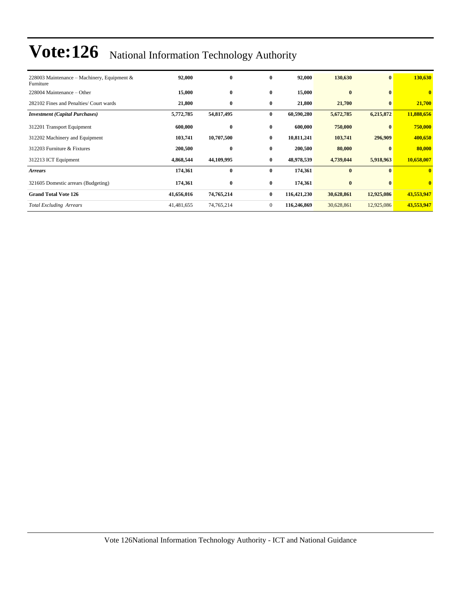| 228003 Maintenance – Machinery, Equipment &<br>Furniture | 92,000     | $\bf{0}$   | $\bf{0}$       | 92,000      | 130,630    | $\bf{0}$     | <b>130,630</b> |
|----------------------------------------------------------|------------|------------|----------------|-------------|------------|--------------|----------------|
| 228004 Maintenance – Other                               | 15,000     | $\bf{0}$   | $\bf{0}$       | 15,000      | $\bf{0}$   | $\mathbf{0}$ | $\mathbf{0}$   |
| 282102 Fines and Penalties/ Court wards                  | 21,800     | $\bf{0}$   | $\bf{0}$       | 21,800      | 21,700     | $\bf{0}$     | 21,700         |
| <b>Investment</b> (Capital Purchases)                    | 5,772,785  | 54,817,495 | $\bf{0}$       | 60,590,280  | 5,672,785  | 6,215,872    | 11,888,656     |
| 312201 Transport Equipment                               | 600,000    | $\bf{0}$   | $\bf{0}$       | 600,000     | 750,000    | $\mathbf{0}$ | 750,000        |
| 312202 Machinery and Equipment                           | 103,741    | 10,707,500 | $\bf{0}$       | 10,811,241  | 103,741    | 296,909      | 400,650        |
| 312203 Furniture & Fixtures                              | 200,500    | $\bf{0}$   | $\bf{0}$       | 200,500     | 80,000     |              | 80,000         |
| 312213 ICT Equipment                                     | 4,868,544  | 44,109,995 | $\bf{0}$       | 48,978,539  | 4,739,044  | 5,918,963    | 10,658,007     |
| <b>Arrears</b>                                           | 174,361    | $\bf{0}$   | $\bf{0}$       | 174,361     | $\bf{0}$   | $\mathbf{0}$ | $\mathbf{0}$   |
| 321605 Domestic arrears (Budgeting)                      | 174,361    | $\bf{0}$   | $\bf{0}$       | 174,361     | $\bf{0}$   |              | $\mathbf{0}$   |
| <b>Grand Total Vote 126</b>                              | 41,656,016 | 74,765,214 | $\bf{0}$       | 116,421,230 | 30,628,861 | 12,925,086   | 43,553,947     |
| <b>Total Excluding Arrears</b>                           | 41,481,655 | 74,765,214 | $\overline{0}$ | 116,246,869 | 30,628,861 | 12,925,086   | 43,553,947     |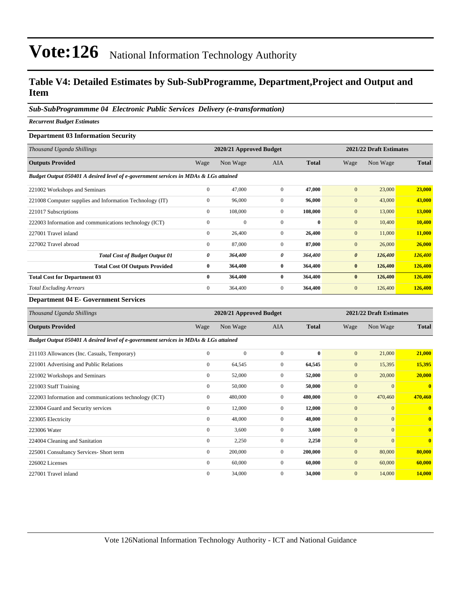#### **Table V4: Detailed Estimates by Sub-SubProgramme, Department,Project and Output and Item**

*Sub-SubProgrammme 04 Electronic Public Services Delivery (e-transformation)*

*Recurrent Budget Estimates*

#### **Department 03 Information Security**

| Thousand Uganda Shillings                                                            |              | 2020/21 Approved Budget |                |              |                       | 2021/22 Draft Estimates |              |
|--------------------------------------------------------------------------------------|--------------|-------------------------|----------------|--------------|-----------------------|-------------------------|--------------|
| <b>Outputs Provided</b>                                                              | Wage         | Non Wage                | <b>AIA</b>     | <b>Total</b> | Wage                  | Non Wage                | <b>Total</b> |
| Budget Output 050401 A desired level of e-government services in MDAs & LGs attained |              |                         |                |              |                       |                         |              |
| 221002 Workshops and Seminars                                                        | $\mathbf{0}$ | 47,000                  | $\Omega$       | 47,000       | $\mathbf{0}$          | 23,000                  | 23,000       |
| 221008 Computer supplies and Information Technology (IT)                             | $\mathbf{0}$ | 96,000                  | $\mathbf{0}$   | 96,000       | $\mathbf{0}$          | 43,000                  | 43,000       |
| 221017 Subscriptions                                                                 | $\mathbf{0}$ | 108,000                 | $\mathbf{0}$   | 108,000      | $\mathbf{0}$          | 13,000                  | 13,000       |
| 222003 Information and communications technology (ICT)                               | $\mathbf{0}$ | $\Omega$                | $\Omega$       | $\mathbf{0}$ | $\mathbf{0}$          | 10,400                  | 10,400       |
| 227001 Travel inland                                                                 | $\mathbf{0}$ | 26,400                  | $\overline{0}$ | 26,400       | $\mathbf{0}$          | 11,000                  | 11,000       |
| 227002 Travel abroad                                                                 | $\mathbf{0}$ | 87,000                  | $\Omega$       | 87,000       | $\mathbf{0}$          | 26,000                  | 26,000       |
| <b>Total Cost of Budget Output 01</b>                                                | 0            | 364,400                 | 0              | 364,400      | $\boldsymbol{\theta}$ | 126,400                 | 126,400      |
| <b>Total Cost Of Outputs Provided</b>                                                | $\bf{0}$     | 364,400                 | $\bf{0}$       | 364,400      | $\bf{0}$              | 126,400                 | 126,400      |
| <b>Total Cost for Department 03</b>                                                  | $\bf{0}$     | 364,400                 | $\mathbf{0}$   | 364,400      | $\bf{0}$              | 126,400                 | 126,400      |
| <b>Total Excluding Arrears</b>                                                       | $\mathbf{0}$ | 364,400                 | $\mathbf{0}$   | 364,400      | $\mathbf{0}$          | 126,400                 | 126,400      |

**Department 04 E- Government Services**

| Thousand Uganda Shillings                                                            |                  | 2020/21 Approved Budget |              |              |              | 2021/22 Draft Estimates |                         |
|--------------------------------------------------------------------------------------|------------------|-------------------------|--------------|--------------|--------------|-------------------------|-------------------------|
| <b>Outputs Provided</b>                                                              | Wage             | Non Wage                | <b>AIA</b>   | <b>Total</b> | Wage         | Non Wage                | <b>Total</b>            |
| Budget Output 050401 A desired level of e-government services in MDAs & LGs attained |                  |                         |              |              |              |                         |                         |
| 211103 Allowances (Inc. Casuals, Temporary)                                          | $\mathbf{0}$     | $\mathbf{0}$            | $\mathbf{0}$ | $\bf{0}$     | $\mathbf{0}$ | 21,000                  | 21,000                  |
| 221001 Advertising and Public Relations                                              | $\mathbf{0}$     | 64,545                  | $\mathbf{0}$ | 64,545       | $\mathbf{0}$ | 15,395                  | 15,395                  |
| 221002 Workshops and Seminars                                                        | $\boldsymbol{0}$ | 52,000                  | 0            | 52,000       | $\mathbf{0}$ | 20,000                  | 20,000                  |
| 221003 Staff Training                                                                | $\mathbf{0}$     | 50,000                  | $\mathbf{0}$ | 50,000       | $\mathbf{0}$ | $\overline{0}$          | $\bf{0}$                |
| 222003 Information and communications technology (ICT)                               | $\mathbf{0}$     | 480,000                 | $\mathbf{0}$ | 480,000      | $\mathbf{0}$ | 470,460                 | 470,460                 |
| 223004 Guard and Security services                                                   | $\mathbf{0}$     | 12,000                  | $\mathbf{0}$ | 12,000       | $\mathbf{0}$ | $\overline{0}$          | $\bf{0}$                |
| 223005 Electricity                                                                   | $\mathbf{0}$     | 48,000                  | $\mathbf{0}$ | 48,000       | $\mathbf{0}$ | $\overline{0}$          | $\overline{\mathbf{0}}$ |
| 223006 Water                                                                         | $\boldsymbol{0}$ | 3,600                   | 0            | 3,600        | $\mathbf{0}$ | $\overline{0}$          | $\mathbf{0}$            |
| 224004 Cleaning and Sanitation                                                       | $\boldsymbol{0}$ | 2,250                   | $\mathbf{0}$ | 2,250        | $\mathbf{0}$ | $\overline{0}$          | $\bf{0}$                |
| 225001 Consultancy Services- Short term                                              | $\mathbf{0}$     | 200,000                 | $\mathbf{0}$ | 200,000      | $\mathbf{0}$ | 80,000                  | 80,000                  |
| 226002 Licenses                                                                      | $\mathbf{0}$     | 60,000                  | $\mathbf{0}$ | 60,000       | $\mathbf{0}$ | 60,000                  | 60,000                  |
| 227001 Travel inland                                                                 | $\mathbf{0}$     | 34,000                  | $\mathbf{0}$ | 34,000       | $\mathbf{0}$ | 14,000                  | 14,000                  |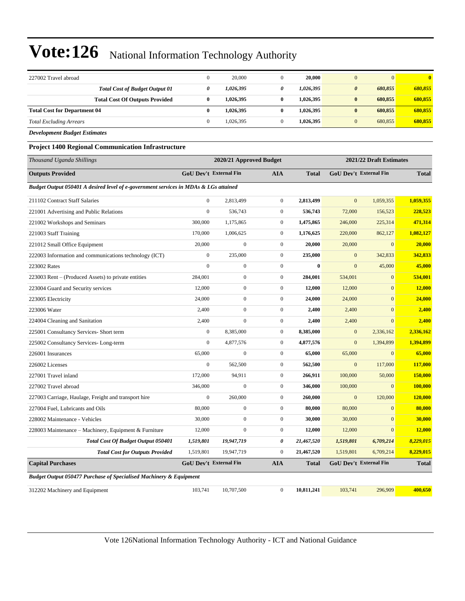| 227002 Travel abroad                                                                 | $\boldsymbol{0}$ | 20,000                        | $\mathbf{0}$     | 20,000       | $\mathbf{0}$     | $\mathbf{0}$                  | $\bf{0}$     |
|--------------------------------------------------------------------------------------|------------------|-------------------------------|------------------|--------------|------------------|-------------------------------|--------------|
| <b>Total Cost of Budget Output 01</b>                                                | 0                | 1,026,395                     | 0                | 1,026,395    | $\pmb{\theta}$   | 680,855                       | 680,855      |
| <b>Total Cost Of Outputs Provided</b>                                                | $\bf{0}$         | 1,026,395                     | $\bf{0}$         | 1,026,395    | $\bf{0}$         | 680,855                       | 680,855      |
| <b>Total Cost for Department 04</b>                                                  | $\bf{0}$         | 1,026,395                     | $\bf{0}$         | 1,026,395    | $\bf{0}$         | 680,855                       | 680,855      |
| <b>Total Excluding Arrears</b>                                                       | $\boldsymbol{0}$ | 1,026,395                     | $\mathbf{0}$     | 1,026,395    | $\mathbf{0}$     | 680,855                       | 680,855      |
| <b>Development Budget Estimates</b>                                                  |                  |                               |                  |              |                  |                               |              |
| <b>Project 1400 Regional Communication Infrastructure</b>                            |                  |                               |                  |              |                  |                               |              |
| Thousand Uganda Shillings                                                            |                  | 2020/21 Approved Budget       |                  |              |                  | 2021/22 Draft Estimates       |              |
| <b>Outputs Provided</b>                                                              |                  | <b>GoU Dev't External Fin</b> | <b>AIA</b>       | <b>Total</b> |                  | <b>GoU Dev't External Fin</b> | <b>Total</b> |
| Budget Output 050401 A desired level of e-government services in MDAs & LGs attained |                  |                               |                  |              |                  |                               |              |
| 211102 Contract Staff Salaries                                                       | $\mathbf{0}$     | 2,813,499                     | $\boldsymbol{0}$ | 2,813,499    | $\mathbf{0}$     | 1,059,355                     | 1,059,355    |
| 221001 Advertising and Public Relations                                              | $\mathbf{0}$     | 536,743                       | $\boldsymbol{0}$ | 536,743      | 72,000           | 156,523                       | 228,523      |
| 221002 Workshops and Seminars                                                        | 300,000          | 1,175,865                     | $\boldsymbol{0}$ | 1,475,865    | 246,000          | 225,314                       | 471,314      |
| 221003 Staff Training                                                                | 170,000          | 1,006,625                     | $\boldsymbol{0}$ | 1,176,625    | 220,000          | 862,127                       | 1,082,127    |
| 221012 Small Office Equipment                                                        | 20,000           | $\boldsymbol{0}$              | $\boldsymbol{0}$ | 20,000       | 20,000           | $\boldsymbol{0}$              | 20,000       |
| 222003 Information and communications technology (ICT)                               | $\mathbf{0}$     | 235,000                       | $\boldsymbol{0}$ | 235,000      | $\mathbf{0}$     | 342,833                       | 342,833      |
| 223002 Rates                                                                         | $\mathbf{0}$     | $\boldsymbol{0}$              | $\boldsymbol{0}$ | $\bf{0}$     | $\mathbf{0}$     | 45,000                        | 45,000       |
| 223003 Rent – (Produced Assets) to private entities                                  | 284,001          | $\boldsymbol{0}$              | $\boldsymbol{0}$ | 284,001      | 534,001          | $\mathbf{0}$                  | 534,001      |
| 223004 Guard and Security services                                                   | 12,000           | $\boldsymbol{0}$              | $\boldsymbol{0}$ | 12,000       | 12,000           | $\boldsymbol{0}$              | 12,000       |
| 223005 Electricity                                                                   | 24,000           | $\overline{0}$                | $\boldsymbol{0}$ | 24,000       | 24,000           | $\mathbf{0}$                  | 24,000       |
| 223006 Water                                                                         | 2,400            | $\boldsymbol{0}$              | $\boldsymbol{0}$ | 2,400        | 2,400            | $\mathbf{0}$                  | 2,400        |
| 224004 Cleaning and Sanitation                                                       | 2,400            | $\boldsymbol{0}$              | $\boldsymbol{0}$ | 2,400        | 2,400            | $\boldsymbol{0}$              | 2,400        |
| 225001 Consultancy Services- Short term                                              | $\boldsymbol{0}$ | 8,385,000                     | $\boldsymbol{0}$ | 8,385,000    | $\mathbf{0}$     | 2,336,162                     | 2,336,162    |
| 225002 Consultancy Services-Long-term                                                | $\mathbf{0}$     | 4,877,576                     | $\boldsymbol{0}$ | 4,877,576    | $\mathbf{0}$     | 1,394,899                     | 1,394,899    |
| 226001 Insurances                                                                    | 65,000           | $\boldsymbol{0}$              | $\boldsymbol{0}$ | 65,000       | 65,000           | $\mathbf{0}$                  | 65,000       |
| 226002 Licenses                                                                      | $\boldsymbol{0}$ | 562,500                       | $\boldsymbol{0}$ | 562,500      | $\mathbf{0}$     | 117,000                       | 117,000      |
| 227001 Travel inland                                                                 | 172,000          | 94,911                        | $\boldsymbol{0}$ | 266,911      | 100,000          | 50,000                        | 150,000      |
| 227002 Travel abroad                                                                 | 346,000          | $\overline{0}$                | $\boldsymbol{0}$ | 346,000      | 100,000          | $\mathbf{0}$                  | 100,000      |
| 227003 Carriage, Haulage, Freight and transport hire                                 | $\boldsymbol{0}$ | 260,000                       | $\boldsymbol{0}$ | 260,000      | $\boldsymbol{0}$ | 120,000                       | 120,000      |
| 227004 Fuel, Lubricants and Oils                                                     | 80,000           | $\boldsymbol{0}$              | $\mathbf{0}$     | 80,000       | 80,000           | $\mathbf{0}$                  | 80,000       |
| 228002 Maintenance - Vehicles                                                        | 30,000           | $\boldsymbol{0}$              | $\boldsymbol{0}$ | 30,000       | 30,000           | $\mathbf{0}$                  | 30,000       |
| 228003 Maintenance – Machinery, Equipment & Furniture                                | 12,000           | $\boldsymbol{0}$              | $\boldsymbol{0}$ | 12,000       | 12,000           | $\mathbf{0}$                  | 12,000       |
| Total Cost Of Budget Output 050401                                                   | 1,519,801        | 19,947,719                    | 0                | 21,467,520   | 1,519,801        | 6,709,214                     | 8,229,015    |
| <b>Total Cost for Outputs Provided</b>                                               | 1,519,801        | 19,947,719                    | $\boldsymbol{0}$ | 21,467,520   | 1,519,801        | 6,709,214                     | 8,229,015    |
| <b>Capital Purchases</b>                                                             |                  | GoU Dev't External Fin        | <b>AIA</b>       | <b>Total</b> |                  | <b>GoU Dev't External Fin</b> | <b>Total</b> |
| <b>Budget Output 050477 Purchase of Specialised Machinery &amp; Equipment</b>        |                  |                               |                  |              |                  |                               |              |
| 312202 Machinery and Equipment                                                       | 103,741          | 10,707,500                    | $\boldsymbol{0}$ | 10,811,241   | 103,741          | 296,909                       | 400,650      |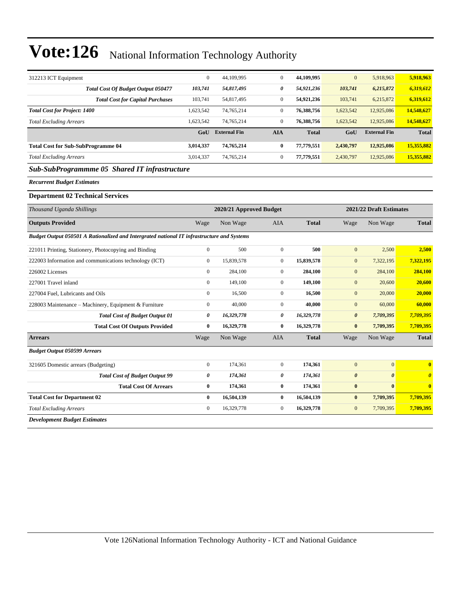| 312213 ICT Equipment                                                                       | $\mathbf{0}$     | 44,109,995              | $\boldsymbol{0}$ | 44,109,995   | $\mathbf{0}$          | 5,918,963               | 5,918,963               |
|--------------------------------------------------------------------------------------------|------------------|-------------------------|------------------|--------------|-----------------------|-------------------------|-------------------------|
| <b>Total Cost Of Budget Output 050477</b>                                                  | 103,741          | 54,817,495              | 0                | 54,921,236   | 103,741               | 6,215,872               | 6,319,612               |
| <b>Total Cost for Capital Purchases</b>                                                    | 103,741          | 54,817,495              | $\mathbf{0}$     | 54,921,236   | 103,741               | 6,215,872               | 6,319,612               |
| <b>Total Cost for Project: 1400</b>                                                        | 1,623,542        | 74,765,214              | $\boldsymbol{0}$ | 76,388,756   | 1,623,542             | 12,925,086              | 14,548,627              |
| <b>Total Excluding Arrears</b>                                                             | 1,623,542        | 74,765,214              | $\mathbf{0}$     | 76,388,756   | 1,623,542             | 12,925,086              | 14,548,627              |
|                                                                                            |                  | GoU External Fin        | <b>AIA</b>       | <b>Total</b> | GoU                   | <b>External Fin</b>     | <b>Total</b>            |
| <b>Total Cost for Sub-SubProgramme 04</b>                                                  | 3,014,337        | 74,765,214              | $\bf{0}$         | 77,779,551   | 2,430,797             | 12,925,086              | 15,355,882              |
| <b>Total Excluding Arrears</b>                                                             | 3,014,337        | 74,765,214              | $\boldsymbol{0}$ | 77,779,551   | 2,430,797             | 12,925,086              | 15,355,882              |
| Sub-SubProgrammme 05 Shared IT infrastructure                                              |                  |                         |                  |              |                       |                         |                         |
| <b>Recurrent Budget Estimates</b>                                                          |                  |                         |                  |              |                       |                         |                         |
| <b>Department 02 Technical Services</b>                                                    |                  |                         |                  |              |                       |                         |                         |
| Thousand Uganda Shillings                                                                  |                  | 2020/21 Approved Budget |                  |              |                       | 2021/22 Draft Estimates |                         |
| <b>Outputs Provided</b>                                                                    | Wage             | Non Wage                | <b>AIA</b>       | <b>Total</b> | Wage                  | Non Wage                | <b>Total</b>            |
| Budget Output 050501 A Rationalized and Intergrated national IT infrastructure and Systems |                  |                         |                  |              |                       |                         |                         |
| 221011 Printing, Stationery, Photocopying and Binding                                      | $\boldsymbol{0}$ | 500                     | $\boldsymbol{0}$ | 500          | $\mathbf{0}$          | 2,500                   | 2,500                   |
| 222003 Information and communications technology (ICT)                                     | $\mathbf{0}$     | 15,839,578              | $\overline{0}$   | 15,839,578   | $\mathbf{0}$          | 7,322,195               | 7,322,195               |
| 226002 Licenses                                                                            | $\mathbf{0}$     | 284,100                 | $\overline{0}$   | 284,100      | $\mathbf{0}$          | 284,100                 | 284,100                 |
| 227001 Travel inland                                                                       | $\Omega$         | 149,100                 | $\overline{0}$   | 149,100      | $\mathbf{0}$          | 20,600                  | 20,600                  |
| 227004 Fuel, Lubricants and Oils                                                           | $\mathbf{0}$     | 16,500                  | $\overline{0}$   | 16,500       | $\mathbf{0}$          | 20,000                  | 20,000                  |
| 228003 Maintenance - Machinery, Equipment & Furniture                                      | $\boldsymbol{0}$ | 40,000                  | $\overline{0}$   | 40,000       | $\mathbf{0}$          | 60,000                  | 60,000                  |
| <b>Total Cost of Budget Output 01</b>                                                      | 0                | 16,329,778              | 0                | 16,329,778   | $\boldsymbol{\theta}$ | 7,709,395               | 7,709,395               |
| <b>Total Cost Of Outputs Provided</b>                                                      | $\bf{0}$         | 16,329,778              | $\bf{0}$         | 16,329,778   | $\bf{0}$              | 7,709,395               | 7,709,395               |
| <b>Arrears</b>                                                                             | Wage             | Non Wage                | AIA              | <b>Total</b> | Wage                  | Non Wage                | <b>Total</b>            |
| <b>Budget Output 050599 Arrears</b>                                                        |                  |                         |                  |              |                       |                         |                         |
| 321605 Domestic arrears (Budgeting)                                                        | $\mathbf{0}$     | 174,361                 | $\mathbf{0}$     | 174,361      | $\mathbf{0}$          | $\overline{0}$          | $\overline{\mathbf{0}}$ |
| <b>Total Cost of Budget Output 99</b>                                                      | $\pmb{\theta}$   | 174,361                 | 0                | 174,361      | $\boldsymbol{\theta}$ | $\boldsymbol{\theta}$   | $\boldsymbol{\theta}$   |
| <b>Total Cost Of Arrears</b>                                                               | $\bf{0}$         | 174,361                 | $\bf{0}$         | 174,361      | $\bf{0}$              | $\bf{0}$                | $\bf{0}$                |
| <b>Total Cost for Department 02</b>                                                        | $\bf{0}$         | 16,504,139              | $\bf{0}$         | 16,504,139   | $\bf{0}$              | 7,709,395               | 7,709,395               |
| <b>Total Excluding Arrears</b>                                                             | $\boldsymbol{0}$ | 16,329,778              | $\overline{0}$   | 16,329,778   | $\mathbf{0}$          | 7,709,395               | 7,709,395               |
| Development Budget Estimates                                                               |                  |                         |                  |              |                       |                         |                         |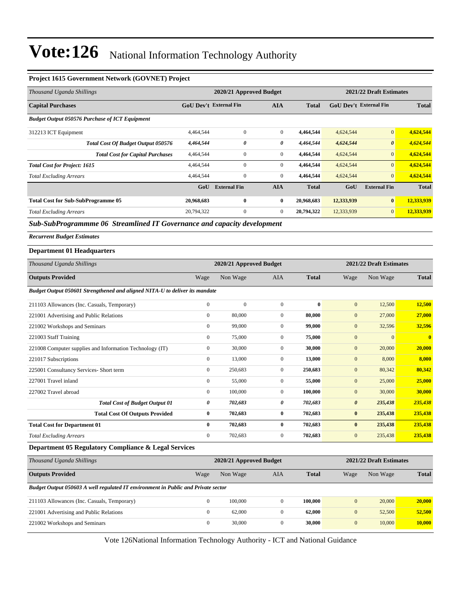#### **Project 1615 Government Network (GOVNET) Project**

| Thousand Uganda Shillings                                                         |                               | 2020/21 Approved Budget |                  |              |                       | 2021/22 Draft Estimates       |                         |
|-----------------------------------------------------------------------------------|-------------------------------|-------------------------|------------------|--------------|-----------------------|-------------------------------|-------------------------|
| <b>Capital Purchases</b>                                                          | <b>GoU Dev't External Fin</b> |                         | <b>AIA</b>       | Total        |                       | <b>GoU Dev't External Fin</b> | <b>Total</b>            |
| <b>Budget Output 050576 Purchase of ICT Equipment</b>                             |                               |                         |                  |              |                       |                               |                         |
| 312213 ICT Equipment                                                              | 4,464,544                     | $\mathbf{0}$            | $\boldsymbol{0}$ | 4,464,544    | 4,624,544             | $\mathbf{0}$                  | 4,624,544               |
| <b>Total Cost Of Budget Output 050576</b>                                         | 4,464,544                     | 0                       | 0                | 4,464,544    | 4,624,544             | $\boldsymbol{\theta}$         | 4,624,544               |
| <b>Total Cost for Capital Purchases</b>                                           | 4,464,544                     | $\mathbf{0}$            | $\boldsymbol{0}$ | 4,464,544    | 4,624,544             | $\mathbf{0}$                  | 4,624,544               |
| <b>Total Cost for Project: 1615</b>                                               | 4,464,544                     | $\mathbf{0}$            | $\boldsymbol{0}$ | 4,464,544    | 4,624,544             | $\mathbf{0}$                  | 4,624,544               |
| <b>Total Excluding Arrears</b>                                                    | 4,464,544                     | $\boldsymbol{0}$        | $\boldsymbol{0}$ | 4,464,544    | 4,624,544             | $\mathbf{0}$                  | 4,624,544               |
|                                                                                   | GoU                           | <b>External Fin</b>     | <b>AIA</b>       | <b>Total</b> | GoU                   | <b>External Fin</b>           | <b>Total</b>            |
| <b>Total Cost for Sub-SubProgramme 05</b>                                         | 20,968,683                    | $\bf{0}$                | $\bf{0}$         | 20,968,683   | 12,333,939            | $\bf{0}$                      | 12,333,939              |
| <b>Total Excluding Arrears</b>                                                    | 20,794,322                    | $\boldsymbol{0}$        | $\boldsymbol{0}$ | 20,794,322   | 12,333,939            | $\mathbf{0}$                  | 12,333,939              |
| Sub-SubProgrammme 06 Streamlined IT Governance and capacity development           |                               |                         |                  |              |                       |                               |                         |
| <b>Recurrent Budget Estimates</b>                                                 |                               |                         |                  |              |                       |                               |                         |
| <b>Department 01 Headquarters</b>                                                 |                               |                         |                  |              |                       |                               |                         |
| Thousand Uganda Shillings                                                         |                               | 2020/21 Approved Budget |                  |              |                       | 2021/22 Draft Estimates       |                         |
| <b>Outputs Provided</b>                                                           | Wage                          | Non Wage                | AIA              | Total        | Wage                  | Non Wage                      | <b>Total</b>            |
| Budget Output 050601 Strengthened and aligned NITA-U to deliver its mandate       |                               |                         |                  |              |                       |                               |                         |
| 211103 Allowances (Inc. Casuals, Temporary)                                       | $\boldsymbol{0}$              | $\boldsymbol{0}$        | $\boldsymbol{0}$ | $\bf{0}$     | $\mathbf{0}$          | 12,500                        | 12,500                  |
| 221001 Advertising and Public Relations                                           | $\boldsymbol{0}$              | 80,000                  | $\boldsymbol{0}$ | 80,000       | $\mathbf{0}$          | 27,000                        | 27,000                  |
| 221002 Workshops and Seminars                                                     | $\boldsymbol{0}$              | 99,000                  | $\boldsymbol{0}$ | 99,000       | $\mathbf{0}$          | 32,596                        | 32,596                  |
| 221003 Staff Training                                                             | $\boldsymbol{0}$              | 75,000                  | $\boldsymbol{0}$ | 75,000       | $\mathbf{0}$          | $\mathbf{0}$                  | $\overline{\mathbf{0}}$ |
| 221008 Computer supplies and Information Technology (IT)                          | $\boldsymbol{0}$              | 30,000                  | $\boldsymbol{0}$ | 30,000       | $\mathbf{0}$          | 20,000                        | 20,000                  |
| 221017 Subscriptions                                                              | $\boldsymbol{0}$              | 13,000                  | $\boldsymbol{0}$ | 13,000       | $\mathbf{0}$          | 8,000                         | 8,000                   |
| 225001 Consultancy Services- Short term                                           | $\boldsymbol{0}$              | 250,683                 | $\boldsymbol{0}$ | 250,683      | $\mathbf{0}$          | 80,342                        | 80,342                  |
| 227001 Travel inland                                                              | $\boldsymbol{0}$              | 55,000                  | $\boldsymbol{0}$ | 55,000       | $\mathbf{0}$          | 25,000                        | 25,000                  |
| 227002 Travel abroad                                                              | $\boldsymbol{0}$              | 100,000                 | $\boldsymbol{0}$ | 100,000      | $\mathbf{0}$          | 30,000                        | 30,000                  |
| <b>Total Cost of Budget Output 01</b>                                             | 0                             | 702,683                 | 0                | 702,683      | $\boldsymbol{\theta}$ | 235,438                       | 235,438                 |
| <b>Total Cost Of Outputs Provided</b>                                             | $\bf{0}$                      | 702,683                 | $\bf{0}$         | 702,683      | $\bf{0}$              | 235,438                       | 235,438                 |
| <b>Total Cost for Department 01</b>                                               | $\bf{0}$                      | 702,683                 | 0                | 702,683      | $\bf{0}$              | 235,438                       | 235,438                 |
| <b>Total Excluding Arrears</b>                                                    | $\boldsymbol{0}$              | 702,683                 | $\boldsymbol{0}$ | 702,683      | $\mathbf{0}$          | 235,438                       | 235,438                 |
| Department 05 Regulatory Compliance & Legal Services                              |                               |                         |                  |              |                       |                               |                         |
| Thousand Uganda Shillings                                                         |                               | 2020/21 Approved Budget |                  |              |                       | 2021/22 Draft Estimates       |                         |
| <b>Outputs Provided</b>                                                           | Wage                          | Non Wage                | AIA              | <b>Total</b> | Wage                  | Non Wage                      | <b>Total</b>            |
| Budget Output 050603 A well regulated IT environment in Public and Private sector |                               |                         |                  |              |                       |                               |                         |
| 211103 Allowances (Inc. Casuals, Temporary)                                       | $\boldsymbol{0}$              | 100,000                 | $\boldsymbol{0}$ | 100,000      | $\boldsymbol{0}$      | 20,000                        | 20,000                  |
| 221001 Advertising and Public Relations                                           | $\boldsymbol{0}$              | 62,000                  | $\boldsymbol{0}$ | 62,000       | $\boldsymbol{0}$      | 52,500                        | 52,500                  |
| 221002 Workshops and Seminars                                                     | $\boldsymbol{0}$              | 30,000                  | $\boldsymbol{0}$ | 30,000       | $\boldsymbol{0}$      | 10,000                        | 10,000                  |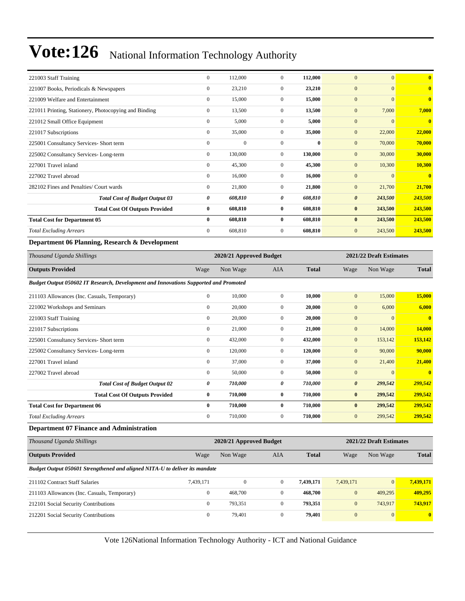| 221003 Staff Training                                                                | $\boldsymbol{0}$ | 112,000                 | $\mathbf{0}$     | 112,000      | $\mathbf{0}$          | $\mathbf{0}$            | $\bf{0}$     |
|--------------------------------------------------------------------------------------|------------------|-------------------------|------------------|--------------|-----------------------|-------------------------|--------------|
| 221007 Books, Periodicals & Newspapers                                               | $\overline{0}$   | 23,210                  | $\mathbf{0}$     | 23,210       | $\mathbf{0}$          | $\mathbf{0}$            | $\bf{0}$     |
| 221009 Welfare and Entertainment                                                     | $\boldsymbol{0}$ | 15,000                  | $\boldsymbol{0}$ | 15,000       | $\mathbf{0}$          | $\mathbf{0}$            | $\bf{0}$     |
| 221011 Printing, Stationery, Photocopying and Binding                                | $\overline{0}$   | 13,500                  | $\overline{0}$   | 13,500       | $\mathbf{0}$          | 7,000                   | 7,000        |
| 221012 Small Office Equipment                                                        | $\overline{0}$   | 5,000                   | $\overline{0}$   | 5,000        | $\mathbf{0}$          | $\mathbf{0}$            | $\bf{0}$     |
| 221017 Subscriptions                                                                 | $\overline{0}$   | 35,000                  | $\overline{0}$   | 35,000       | $\mathbf{0}$          | 22,000                  | 22,000       |
| 225001 Consultancy Services- Short term                                              | $\boldsymbol{0}$ | $\boldsymbol{0}$        | $\boldsymbol{0}$ | $\bf{0}$     | $\mathbf{0}$          | 70,000                  | 70,000       |
| 225002 Consultancy Services-Long-term                                                | $\overline{0}$   | 130,000                 | $\overline{0}$   | 130,000      | $\mathbf{0}$          | 30,000                  | 30,000       |
| 227001 Travel inland                                                                 | $\overline{0}$   | 45,300                  | $\overline{0}$   | 45,300       | $\mathbf{0}$          | 10,300                  | 10,300       |
| 227002 Travel abroad                                                                 | $\overline{0}$   | 16,000                  | $\overline{0}$   | 16,000       | $\mathbf{0}$          | $\mathbf{0}$            | $\bf{0}$     |
| 282102 Fines and Penalties/ Court wards                                              | $\boldsymbol{0}$ | 21,800                  | $\overline{0}$   | 21,800       | $\mathbf{0}$          | 21,700                  | 21,700       |
| <b>Total Cost of Budget Output 03</b>                                                | 0                | 608,810                 | 0                | 608,810      | $\boldsymbol{\theta}$ | 243,500                 | 243,500      |
| <b>Total Cost Of Outputs Provided</b>                                                | $\bf{0}$         | 608,810                 | $\bf{0}$         | 608,810      | $\bf{0}$              | 243,500                 | 243,500      |
| <b>Total Cost for Department 05</b>                                                  | $\bf{0}$         | 608,810                 | $\bf{0}$         | 608,810      | $\bf{0}$              | 243,500                 | 243,500      |
| <b>Total Excluding Arrears</b>                                                       | $\mathbf{0}$     | 608,810                 | $\mathbf{0}$     | 608,810      | $\mathbf{0}$          | 243,500                 | 243,500      |
| Department 06 Planning, Research & Development                                       |                  |                         |                  |              |                       |                         |              |
| Thousand Uganda Shillings                                                            |                  | 2020/21 Approved Budget |                  |              |                       | 2021/22 Draft Estimates |              |
| <b>Outputs Provided</b>                                                              | Wage             | Non Wage                | <b>AIA</b>       | <b>Total</b> | Wage                  | Non Wage                | <b>Total</b> |
| Budget Output 050602 IT Research, Development and Innovations Supported and Promoted |                  |                         |                  |              |                       |                         |              |
| 211103 Allowances (Inc. Casuals, Temporary)                                          | $\overline{0}$   | 10,000                  | $\mathbf{0}$     | 10,000       | $\mathbf{0}$          | 15,000                  | 15,000       |
| 221002 Workshops and Seminars                                                        | $\overline{0}$   | 20,000                  | $\mathbf{0}$     | 20,000       | $\mathbf{0}$          | 6,000                   | 6,000        |
| 221003 Staff Training                                                                | $\boldsymbol{0}$ | 20,000                  | $\overline{0}$   | 20,000       | $\mathbf{0}$          | $\mathbf{0}$            | $\bf{0}$     |
| 221017 Subscriptions                                                                 | $\overline{0}$   | 21,000                  | $\overline{0}$   | 21,000       | $\mathbf{0}$          | 14,000                  | 14,000       |
| 225001 Consultancy Services- Short term                                              | $\overline{0}$   | 432,000                 | $\overline{0}$   | 432,000      | $\mathbf{0}$          | 153,142                 | 153,142      |
| 225002 Consultancy Services-Long-term                                                | $\mathbf{0}$     | 120,000                 | $\mathbf{0}$     | 120,000      | $\mathbf{0}$          | 90,000                  | 90,000       |
| 227001 Travel inland                                                                 | $\boldsymbol{0}$ | 37,000                  | $\mathbf{0}$     | 37,000       | $\mathbf{0}$          | 21,400                  | 21,400       |

| 50,000  | 50,000  |   |                    |                           |
|---------|---------|---|--------------------|---------------------------|
| 710.000 |         |   | 299,542            | 299,542                   |
| 710,000 |         | 0 | 299,542            | 299,542                   |
| 710,000 | 710,000 | 0 | 299,542            | 299,542                   |
| 710,000 | 710,000 |   |                    | 299,542                   |
|         |         |   | 710.000<br>710,000 | $\overline{0}$<br>299,542 |

#### **Department 07 Finance and Administration**

| Thousand Uganda Shillings                                                   |              | 2020/21 Approved Budget |              |              |                  | 2021/22 Draft Estimates |              |  |
|-----------------------------------------------------------------------------|--------------|-------------------------|--------------|--------------|------------------|-------------------------|--------------|--|
| <b>Outputs Provided</b>                                                     | Wage         | Non Wage                | <b>AIA</b>   | <b>Total</b> | Wage             | Non Wage                | <b>Total</b> |  |
| Budget Output 050601 Strengthened and aligned NITA-U to deliver its mandate |              |                         |              |              |                  |                         |              |  |
| 211102 Contract Staff Salaries                                              | 7.439.171    | $\mathbf{0}$            | $\mathbf{0}$ | 7.439.171    | 7.439.171        | $\vert 0 \vert$         | 7,439,171    |  |
| 211103 Allowances (Inc. Casuals, Temporary)                                 | $\mathbf{0}$ | 468,700                 | $\mathbf{0}$ | 468,700      | $\mathbf{0}$     | 409,295                 | 409,295      |  |
| 212101 Social Security Contributions                                        | $\mathbf{0}$ | 793,351                 | $\Omega$     | 793,351      | $\boldsymbol{0}$ | 743,917                 | 743,917      |  |
| 212201 Social Security Contributions                                        | $\mathbf{0}$ | 79.401                  | $\Omega$     | 79.401       | $\overline{0}$   | $\vert 0 \vert$         | $\mathbf{0}$ |  |
|                                                                             |              |                         |              |              |                  |                         |              |  |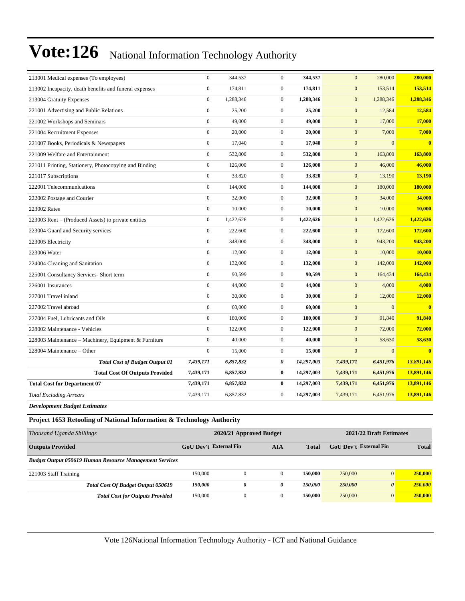| 213001 Medical expenses (To employees)                 | $\mathbf{0}$     | 344,537   | $\mathbf{0}$     | 344,537    | $\mathbf{0}$     | 280,000        | 280,000                 |
|--------------------------------------------------------|------------------|-----------|------------------|------------|------------------|----------------|-------------------------|
| 213002 Incapacity, death benefits and funeral expenses | $\overline{0}$   | 174,811   | $\overline{0}$   | 174,811    | $\mathbf{0}$     | 153,514        | 153,514                 |
| 213004 Gratuity Expenses                               | $\mathbf{0}$     | 1,288,346 | $\mathbf{0}$     | 1,288,346  | $\mathbf{0}$     | 1,288,346      | 1,288,346               |
| 221001 Advertising and Public Relations                | $\mathbf{0}$     | 25,200    | $\mathbf{0}$     | 25,200     | $\mathbf{0}$     | 12,584         | 12,584                  |
| 221002 Workshops and Seminars                          | $\boldsymbol{0}$ | 49,000    | $\boldsymbol{0}$ | 49,000     | $\mathbf{0}$     | 17,000         | 17,000                  |
| 221004 Recruitment Expenses                            | $\overline{0}$   | 20,000    | $\boldsymbol{0}$ | 20,000     | $\mathbf{0}$     | 7,000          | 7,000                   |
| 221007 Books, Periodicals & Newspapers                 | $\boldsymbol{0}$ | 17,040    | $\boldsymbol{0}$ | 17,040     | $\mathbf{0}$     | $\overline{0}$ | $\bf{0}$                |
| 221009 Welfare and Entertainment                       | $\mathbf{0}$     | 532,800   | $\boldsymbol{0}$ | 532,800    | $\mathbf{0}$     | 163,800        | 163,800                 |
| 221011 Printing, Stationery, Photocopying and Binding  | $\mathbf{0}$     | 126,000   | $\mathbf{0}$     | 126,000    | $\mathbf{0}$     | 46,000         | 46,000                  |
| 221017 Subscriptions                                   | $\mathbf{0}$     | 33,820    | $\mathbf{0}$     | 33,820     | $\mathbf{0}$     | 13,190         | 13,190                  |
| 222001 Telecommunications                              | $\boldsymbol{0}$ | 144,000   | $\mathbf{0}$     | 144,000    | $\boldsymbol{0}$ | 180,000        | 180,000                 |
| 222002 Postage and Courier                             | $\boldsymbol{0}$ | 32,000    | $\boldsymbol{0}$ | 32,000     | $\mathbf{0}$     | 34,000         | 34,000                  |
| 223002 Rates                                           | $\mathbf{0}$     | 10,000    | $\overline{0}$   | 10,000     | $\mathbf{0}$     | 10,000         | 10,000                  |
| 223003 Rent – (Produced Assets) to private entities    | $\mathbf{0}$     | 1,422,626 | $\mathbf{0}$     | 1,422,626  | $\mathbf{0}$     | 1,422,626      | 1,422,626               |
| 223004 Guard and Security services                     | $\mathbf{0}$     | 222,600   | $\mathbf{0}$     | 222,600    | $\mathbf{0}$     | 172,600        | 172,600                 |
| 223005 Electricity                                     | $\boldsymbol{0}$ | 348,000   | $\boldsymbol{0}$ | 348,000    | $\boldsymbol{0}$ | 943,200        | 943,200                 |
| 223006 Water                                           | $\boldsymbol{0}$ | 12,000    | $\boldsymbol{0}$ | 12,000     | $\mathbf{0}$     | 10,000         | 10,000                  |
| 224004 Cleaning and Sanitation                         | $\mathbf{0}$     | 132,000   | $\boldsymbol{0}$ | 132,000    | $\mathbf{0}$     | 142,000        | 142,000                 |
| 225001 Consultancy Services- Short term                | $\overline{0}$   | 90,599    | $\mathbf{0}$     | 90,599     | $\mathbf{0}$     | 164,434        | 164,434                 |
| 226001 Insurances                                      | $\mathbf{0}$     | 44,000    | $\boldsymbol{0}$ | 44,000     | $\mathbf{0}$     | 4,000          | 4,000                   |
| 227001 Travel inland                                   | $\mathbf{0}$     | 30,000    | $\mathbf{0}$     | 30,000     | $\mathbf{0}$     | 12,000         | 12,000                  |
| 227002 Travel abroad                                   | $\mathbf{0}$     | 60,000    | $\mathbf{0}$     | 60,000     | $\mathbf{0}$     | $\Omega$       | $\bf{0}$                |
| 227004 Fuel, Lubricants and Oils                       | $\mathbf{0}$     | 180,000   | $\boldsymbol{0}$ | 180,000    | $\mathbf{0}$     | 91,840         | 91,840                  |
| 228002 Maintenance - Vehicles                          | $\overline{0}$   | 122,000   | $\boldsymbol{0}$ | 122,000    | $\mathbf{0}$     | 72,000         | 72,000                  |
| 228003 Maintenance – Machinery, Equipment & Furniture  | $\mathbf{0}$     | 40,000    | $\overline{0}$   | 40,000     | $\mathbf{0}$     | 58,630         | 58,630                  |
| 228004 Maintenance – Other                             | $\mathbf{0}$     | 15,000    | $\overline{0}$   | 15,000     | $\overline{0}$   | $\Omega$       | $\overline{\mathbf{0}}$ |
| <b>Total Cost of Budget Output 01</b>                  | 7,439,171        | 6,857,832 | 0                | 14,297,003 | 7,439,171        | 6,451,976      | 13,891,146              |
| <b>Total Cost Of Outputs Provided</b>                  | 7,439,171        | 6,857,832 | $\bf{0}$         | 14,297,003 | 7,439,171        | 6,451,976      | 13,891,146              |
| <b>Total Cost for Department 07</b>                    | 7,439,171        | 6,857,832 | $\bf{0}$         | 14,297,003 | 7,439,171        | 6,451,976      | 13,891,146              |
| <b>Total Excluding Arrears</b>                         | 7,439,171        | 6,857,832 | $\boldsymbol{0}$ | 14,297,003 | 7,439,171        | 6,451,976      | 13,891,146              |
|                                                        |                  |           |                  |            |                  |                |                         |

*Development Budget Estimates*

#### **Project 1653 Retooling of National Information & Technology Authority**

| Thousand Uganda Shillings                                      | 2020/21 Approved Budget | 2021/22 Draft Estimates |            |              |                        |                       |              |
|----------------------------------------------------------------|-------------------------|-------------------------|------------|--------------|------------------------|-----------------------|--------------|
| <b>Outputs Provided</b>                                        | GoU Dev't External Fin  |                         | <b>AIA</b> | <b>Total</b> | GoU Dev't External Fin |                       | <b>Total</b> |
| <b>Budget Output 050619 Human Resource Management Services</b> |                         |                         |            |              |                        |                       |              |
| 221003 Staff Training                                          | 150.000                 | 0                       |            | 150,000      | 250,000                | $\overline{0}$        | 250,000      |
| <b>Total Cost Of Budget Output 050619</b>                      | <i><b>150.000</b></i>   | 0                       | 0          | 150.000      | 250,000                | $\boldsymbol{\theta}$ | 250,000      |
| <b>Total Cost for Outputs Provided</b>                         | 150.000                 | $\Omega$                |            | 150,000      | 250,000                | $\overline{0}$        | 250,000      |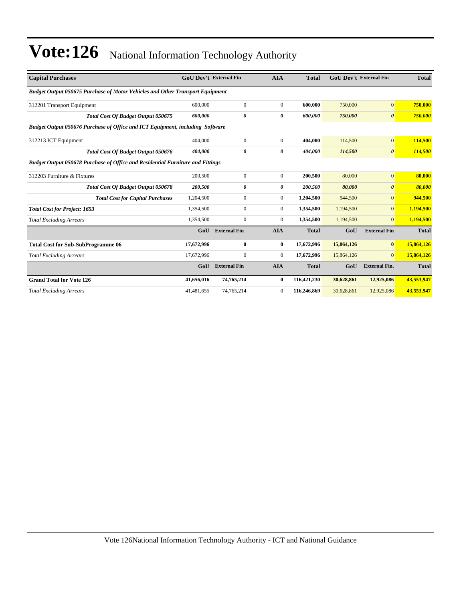| <b>Capital Purchases</b>                                                             | <b>GoU Dev't External Fin</b> |                     | <b>AIA</b>       | <b>Total</b> | <b>GoU Dev't External Fin</b> |                       | <b>Total</b> |
|--------------------------------------------------------------------------------------|-------------------------------|---------------------|------------------|--------------|-------------------------------|-----------------------|--------------|
| <b>Budget Output 050675 Purchase of Motor Vehicles and Other Transport Equipment</b> |                               |                     |                  |              |                               |                       |              |
| 312201 Transport Equipment                                                           | 600,000                       | $\boldsymbol{0}$    | $\mathbf{0}$     | 600,000      | 750,000                       | $\mathbf{0}$          | 750,000      |
| Total Cost Of Budget Output 050675                                                   | 600,000                       | 0                   | 0                | 600.000      | 750,000                       | $\boldsymbol{\theta}$ | 750,000      |
| Budget Output 050676 Purchase of Office and ICT Equipment, including Software        |                               |                     |                  |              |                               |                       |              |
| 312213 ICT Equipment                                                                 | 404,000                       | $\boldsymbol{0}$    | $\overline{0}$   | 404,000      | 114,500                       | $\mathbf{0}$          | 114,500      |
| Total Cost Of Budget Output 050676                                                   | 404,000                       | 0                   | 0                | 404,000      | 114,500                       | $\boldsymbol{\theta}$ | 114,500      |
| Budget Output 050678 Purchase of Office and Residential Furniture and Fittings       |                               |                     |                  |              |                               |                       |              |
| 312203 Furniture & Fixtures                                                          | 200,500                       | $\boldsymbol{0}$    | $\mathbf{0}$     | 200,500      | 80,000                        | $\mathbf{0}$          | 80,000       |
| <b>Total Cost Of Budget Output 050678</b>                                            | 200,500                       | 0                   | 0                | 200,500      | 80,000                        | $\boldsymbol{\theta}$ | 80,000       |
| <b>Total Cost for Capital Purchases</b>                                              | 1,204,500                     | $\mathbf{0}$        | $\overline{0}$   | 1,204,500    | 944,500                       | $\mathbf{0}$          | 944,500      |
| <b>Total Cost for Project: 1653</b>                                                  | 1,354,500                     | $\mathbf{0}$        | $\boldsymbol{0}$ | 1,354,500    | 1,194,500                     | $\mathbf{0}$          | 1,194,500    |
| <b>Total Excluding Arrears</b>                                                       | 1,354,500                     | $\mathbf{0}$        | $\mathbf{0}$     | 1,354,500    | 1,194,500                     | $\overline{0}$        | 1,194,500    |
|                                                                                      | GoU                           | <b>External Fin</b> | <b>AIA</b>       | <b>Total</b> | GoU                           | <b>External Fin</b>   | <b>Total</b> |
| <b>Total Cost for Sub-SubProgramme 06</b>                                            | 17,672,996                    | $\bf{0}$            | $\bf{0}$         | 17,672,996   | 15,864,126                    | $\bf{0}$              | 15,864,126   |
| <b>Total Excluding Arrears</b>                                                       | 17,672,996                    | $\mathbf{0}$        | $\mathbf{0}$     | 17,672,996   | 15,864,126                    | $\Omega$              | 15,864,126   |
|                                                                                      | GoU                           | <b>External Fin</b> | <b>AIA</b>       | <b>Total</b> | GoU                           | <b>External Fin.</b>  | <b>Total</b> |
| <b>Grand Total for Vote 126</b>                                                      | 41,656,016                    | 74,765,214          | $\bf{0}$         | 116,421,230  | 30,628,861                    | 12,925,086            | 43,553,947   |
| <b>Total Excluding Arrears</b>                                                       | 41,481,655                    | 74,765,214          | $\mathbf{0}$     | 116,246,869  | 30,628,861                    | 12,925,086            | 43,553,947   |